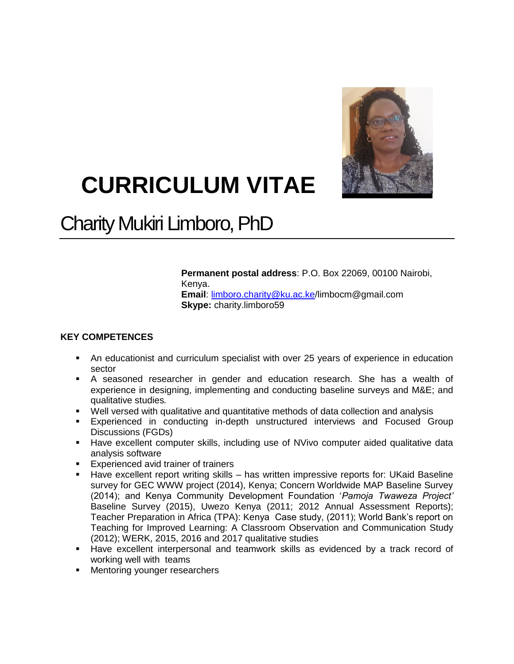

# **CURRICULUM VITAE**

# Charity Mukiri Limboro, PhD

**Permanent postal address**: P.O. Box 22069, 00100 Nairobi, Kenya.

**Email**: [limboro.charity@ku.ac.ke/](mailto:limbocm@gmail.com/limboro.charity@ku.ac.ke)limbocm@gmail.com **Skype:** charity.limboro59

# **KEY COMPETENCES**

- An educationist and curriculum specialist with over 25 years of experience in education sector
- A seasoned researcher in gender and education research. She has a wealth of experience in designing, implementing and conducting baseline surveys and M&E; and qualitative studies*.*
- Well versed with qualitative and quantitative methods of data collection and analysis
- Experienced in conducting in-depth unstructured interviews and Focused Group Discussions (FGDs)
- Have excellent computer skills, including use of NVivo computer aided qualitative data analysis software
- **Experienced avid trainer of trainers**
- **Have excellent report writing skills has written impressive reports for: UKaid Baseline** survey for GEC WWW project (2014), Kenya; Concern Worldwide MAP Baseline Survey (2014); and Kenya Community Development Foundation '*Pamoja Twaweza Project'* Baseline Survey (2015), Uwezo Kenya (2011; 2012 Annual Assessment Reports); Teacher Preparation in Africa (TPA): Kenya Case study, (2011); World Bank's report on Teaching for Improved Learning: A Classroom Observation and Communication Study (2012); WERK, 2015, 2016 and 2017 qualitative studies
- Have excellent interpersonal and teamwork skills as evidenced by a track record of working well with teams
- **Mentoring younger researchers**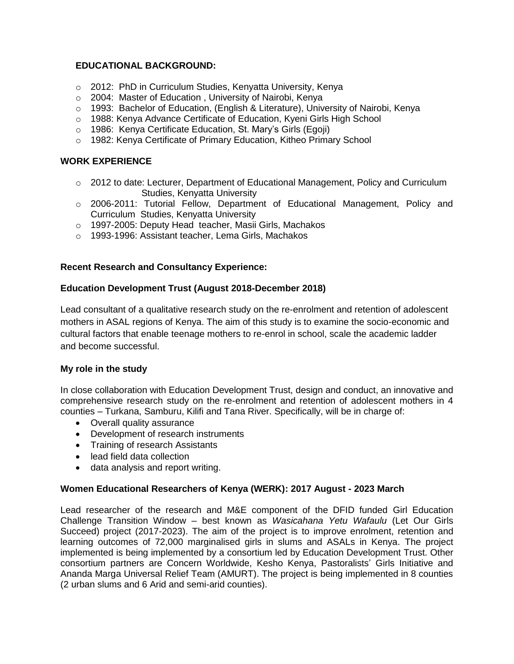# **EDUCATIONAL BACKGROUND:**

- o 2012: PhD in Curriculum Studies, Kenyatta University, Kenya
- o 2004: Master of Education , University of Nairobi, Kenya
- o 1993: Bachelor of Education, (English & Literature), University of Nairobi, Kenya
- o 1988: Kenya Advance Certificate of Education, Kyeni Girls High School
- o 1986: Kenya Certificate Education, St. Mary's Girls (Egoji)
- o 1982: Kenya Certificate of Primary Education, Kitheo Primary School

#### **WORK EXPERIENCE**

- $\circ$  2012 to date: Lecturer, Department of Educational Management, Policy and Curriculum Studies, Kenyatta University
- o 2006-2011: Tutorial Fellow, Department of Educational Management, Policy and Curriculum Studies, Kenyatta University
- o 1997-2005: Deputy Head teacher, Masii Girls, Machakos
- o 1993-1996: Assistant teacher, Lema Girls, Machakos

#### **Recent Research and Consultancy Experience:**

#### **Education Development Trust (August 2018-December 2018)**

Lead consultant of a qualitative research study on the re-enrolment and retention of adolescent mothers in ASAL regions of Kenya. The aim of this study is to examine the socio-economic and cultural factors that enable teenage mothers to re-enrol in school, scale the academic ladder and become successful.

#### **My role in the study**

In close collaboration with Education Development Trust, design and conduct, an innovative and comprehensive research study on the re-enrolment and retention of adolescent mothers in 4 counties – Turkana, Samburu, Kilifi and Tana River. Specifically, will be in charge of:

- Overall quality assurance
- Development of research instruments
- Training of research Assistants
- lead field data collection
- data analysis and report writing.

#### **Women Educational Researchers of Kenya (WERK): 2017 August - 2023 March**

Lead researcher of the research and M&E component of the DFID funded Girl Education Challenge Transition Window – best known as *Wasicahana Yetu Wafaulu* (Let Our Girls Succeed) project (2017-2023). The aim of the project is to improve enrolment, retention and learning outcomes of 72,000 marginalised girls in slums and ASALs in Kenya. The project implemented is being implemented by a consortium led by Education Development Trust. Other consortium partners are Concern Worldwide, Kesho Kenya, Pastoralists' Girls Initiative and Ananda Marga Universal Relief Team (AMURT). The project is being implemented in 8 counties (2 urban slums and 6 Arid and semi-arid counties).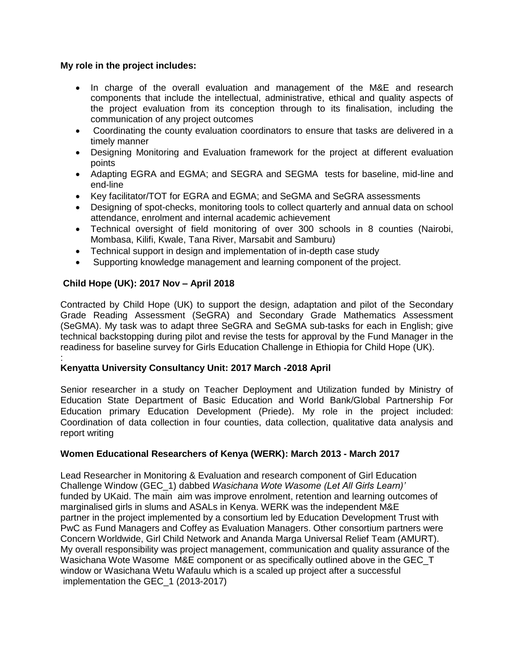# **My role in the project includes:**

- In charge of the overall evaluation and management of the M&E and research components that include the intellectual, administrative, ethical and quality aspects of the project evaluation from its conception through to its finalisation, including the communication of any project outcomes
- Coordinating the county evaluation coordinators to ensure that tasks are delivered in a timely manner
- Designing Monitoring and Evaluation framework for the project at different evaluation points
- Adapting EGRA and EGMA; and SEGRA and SEGMA tests for baseline, mid-line and end-line
- Key facilitator/TOT for EGRA and EGMA; and SeGMA and SeGRA assessments
- Designing of spot-checks, monitoring tools to collect quarterly and annual data on school attendance, enrolment and internal academic achievement
- Technical oversight of field monitoring of over 300 schools in 8 counties (Nairobi, Mombasa, Kilifi, Kwale, Tana River, Marsabit and Samburu)
- Technical support in design and implementation of in-depth case study
- Supporting knowledge management and learning component of the project.

# **Child Hope (UK): 2017 Nov – April 2018**

Contracted by Child Hope (UK) to support the design, adaptation and pilot of the Secondary Grade Reading Assessment (SeGRA) and Secondary Grade Mathematics Assessment (SeGMA). My task was to adapt three SeGRA and SeGMA sub-tasks for each in English; give technical backstopping during pilot and revise the tests for approval by the Fund Manager in the readiness for baseline survey for Girls Education Challenge in Ethiopia for Child Hope (UK).

#### : **Kenyatta University Consultancy Unit: 2017 March -2018 April**

Senior researcher in a study on Teacher Deployment and Utilization funded by Ministry of Education State Department of Basic Education and World Bank/Global Partnership For Education primary Education Development (Priede). My role in the project included: Coordination of data collection in four counties, data collection, qualitative data analysis and report writing

# **Women Educational Researchers of Kenya (WERK): March 2013 - March 2017**

Lead Researcher in Monitoring & Evaluation and research component of Girl Education Challenge Window (GEC\_1) dabbed *Wasichana Wote Wasome (Let All Girls Learn)'* funded by UKaid. The main aim was improve enrolment, retention and learning outcomes of marginalised girls in slums and ASALs in Kenya. WERK was the independent M&E partner in the project implemented by a consortium led by Education Development Trust with PwC as Fund Managers and Coffey as Evaluation Managers. Other consortium partners were Concern Worldwide, Girl Child Network and Ananda Marga Universal Relief Team (AMURT). My overall responsibility was project management, communication and quality assurance of the Wasichana Wote Wasome M&E component or as specifically outlined above in the GEC T window or Wasichana Wetu Wafaulu which is a scaled up project after a successful implementation the GEC\_1 (2013-2017)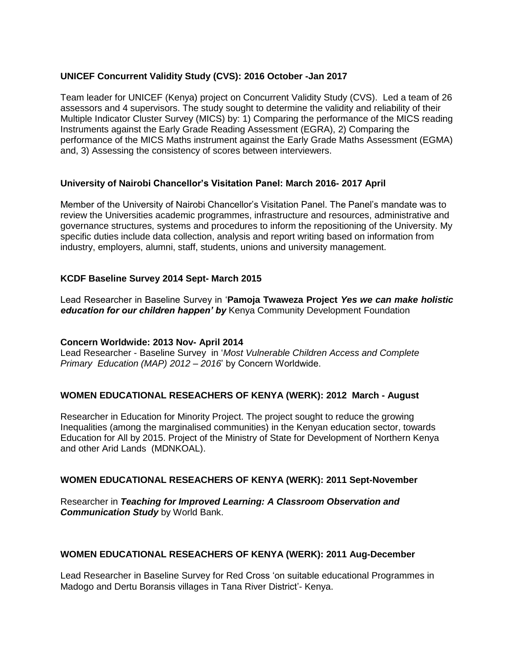# **UNICEF Concurrent Validity Study (CVS): 2016 October -Jan 2017**

Team leader for UNICEF (Kenya) project on Concurrent Validity Study (CVS). Led a team of 26 assessors and 4 supervisors. The study sought to determine the validity and reliability of their Multiple Indicator Cluster Survey (MICS) by: 1) Comparing the performance of the MICS reading Instruments against the Early Grade Reading Assessment (EGRA), 2) Comparing the performance of the MICS Maths instrument against the Early Grade Maths Assessment (EGMA) and, 3) Assessing the consistency of scores between interviewers.

# **University of Nairobi Chancellor's Visitation Panel: March 2016- 2017 April**

Member of the University of Nairobi Chancellor's Visitation Panel. The Panel's mandate was to review the Universities academic programmes, infrastructure and resources, administrative and governance structures, systems and procedures to inform the repositioning of the University. My specific duties include data collection, analysis and report writing based on information from industry, employers, alumni, staff, students, unions and university management.

# **KCDF Baseline Survey 2014 Sept- March 2015**

Lead Researcher in Baseline Survey in '**Pamoja Twaweza Project** *Yes we can make holistic education for our children happen' by* Kenya Community Development Foundation

# **Concern Worldwide: 2013 Nov- April 2014**

Lead Researcher - Baseline Survey in '*Most Vulnerable Children Access and Complete Primary Education (MAP) 2012 – 2016*' by Concern Worldwide.

# **WOMEN EDUCATIONAL RESEACHERS OF KENYA (WERK): 2012 March - August**

Researcher in Education for Minority Project. The project sought to reduce the growing Inequalities (among the marginalised communities) in the Kenyan education sector, towards Education for All by 2015. Project of the Ministry of State for Development of Northern Kenya and other Arid Lands (MDNKOAL).

# **WOMEN EDUCATIONAL RESEACHERS OF KENYA (WERK): 2011 Sept-November**

Researcher in *Teaching for Improved Learning: A Classroom Observation and Communication Study* by World Bank.

# **WOMEN EDUCATIONAL RESEACHERS OF KENYA (WERK): 2011 Aug-December**

Lead Researcher in Baseline Survey for Red Cross 'on suitable educational Programmes in Madogo and Dertu Boransis villages in Tana River District'- Kenya.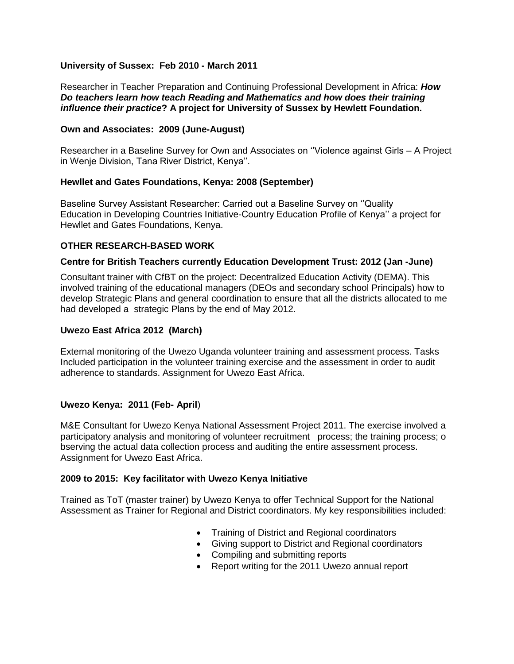# **University of Sussex: Feb 2010 - March 2011**

Researcher in Teacher Preparation and Continuing Professional Development in Africa: *How Do teachers learn how teach Reading and Mathematics and how does their training influence their practice***? A project for University of Sussex by Hewlett Foundation.**

#### **Own and Associates: 2009 (June-August)**

Researcher in a Baseline Survey for Own and Associates on ''Violence against Girls – A Project in Wenje Division, Tana River District, Kenya''.

#### **Hewllet and Gates Foundations, Kenya: 2008 (September)**

Baseline Survey Assistant Researcher: Carried out a Baseline Survey on ''Quality Education in Developing Countries Initiative-Country Education Profile of Kenya'' a project for Hewllet and Gates Foundations, Kenya.

# **OTHER RESEARCH-BASED WORK**

#### **Centre for British Teachers currently Education Development Trust: 2012 (Jan -June)**

Consultant trainer with CfBT on the project: Decentralized Education Activity (DEMA). This involved training of the educational managers (DEOs and secondary school Principals) how to develop Strategic Plans and general coordination to ensure that all the districts allocated to me had developed a strategic Plans by the end of May 2012.

#### **Uwezo East Africa 2012 (March)**

External monitoring of the Uwezo Uganda volunteer training and assessment process. Tasks Included participation in the volunteer training exercise and the assessment in order to audit adherence to standards. Assignment for Uwezo East Africa.

# **Uwezo Kenya: 2011 (Feb- April**)

M&E Consultant for Uwezo Kenya National Assessment Project 2011. The exercise involved a participatory analysis and monitoring of volunteer recruitment process; the training process; o bserving the actual data collection process and auditing the entire assessment process. Assignment for Uwezo East Africa.

#### **2009 to 2015: Key facilitator with Uwezo Kenya Initiative**

Trained as ToT (master trainer) by Uwezo Kenya to offer Technical Support for the National Assessment as Trainer for Regional and District coordinators. My key responsibilities included:

- Training of District and Regional coordinators
- Giving support to District and Regional coordinators
- Compiling and submitting reports
- Report writing for the 2011 Uwezo annual report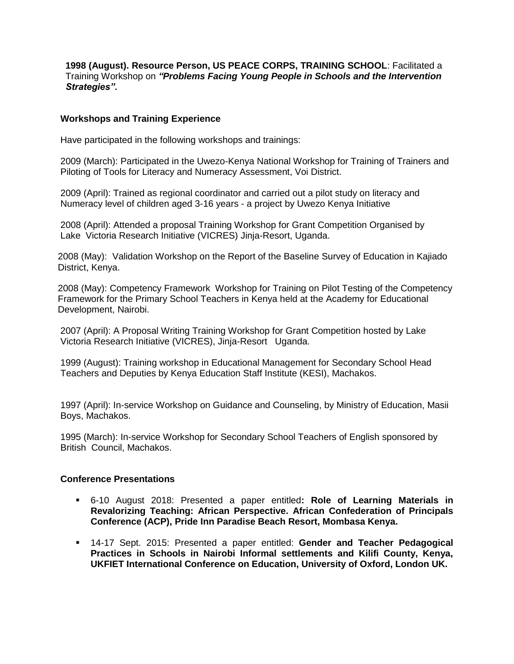**1998 (August). Resource Person, US PEACE CORPS, TRAINING SCHOOL**: Facilitated a Training Workshop on *"Problems Facing Young People in Schools and the Intervention Strategies".* 

#### **Workshops and Training Experience**

Have participated in the following workshops and trainings:

2009 (March): Participated in the Uwezo-Kenya National Workshop for Training of Trainers and Piloting of Tools for Literacy and Numeracy Assessment, Voi District.

2009 (April): Trained as regional coordinator and carried out a pilot study on literacy and Numeracy level of children aged 3-16 years - a project by Uwezo Kenya Initiative

2008 (April): Attended a proposal Training Workshop for Grant Competition Organised by Lake Victoria Research Initiative (VICRES) Jinja-Resort, Uganda.

2008 (May): Validation Workshop on the Report of the Baseline Survey of Education in Kajiado District, Kenya.

2008 (May): Competency Framework Workshop for Training on Pilot Testing of the Competency Framework for the Primary School Teachers in Kenya held at the Academy for Educational Development, Nairobi.

2007 (April): A Proposal Writing Training Workshop for Grant Competition hosted by Lake Victoria Research Initiative (VICRES), Jinja-Resort Uganda.

1999 (August): Training workshop in Educational Management for Secondary School Head Teachers and Deputies by Kenya Education Staff Institute (KESI), Machakos.

1997 (April): In-service Workshop on Guidance and Counseling, by Ministry of Education, Masii Boys, Machakos.

1995 (March): In-service Workshop for Secondary School Teachers of English sponsored by British Council, Machakos.

#### **Conference Presentations**

- 6-10 August 2018: Presented a paper entitled**: Role of Learning Materials in Revalorizing Teaching: African Perspective. African Confederation of Principals Conference (ACP), Pride Inn Paradise Beach Resort, Mombasa Kenya.**
- 14-17 Sept. 2015: Presented a paper entitled: **Gender and Teacher Pedagogical Practices in Schools in Nairobi Informal settlements and Kilifi County, Kenya, UKFIET International Conference on Education, University of Oxford, London UK.**